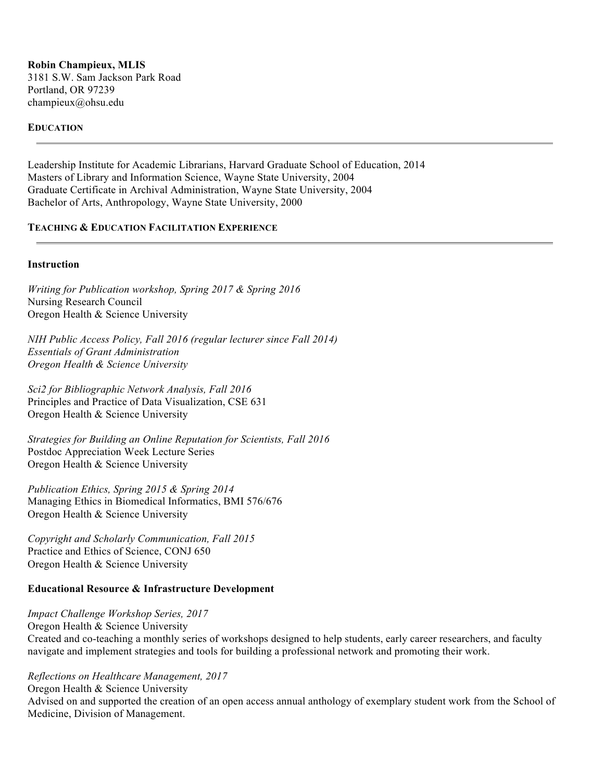**Robin Champieux, MLIS** 3181 S.W. Sam Jackson Park Road Portland, OR 97239 champieux@ohsu.edu

### **EDUCATION**

Leadership Institute for Academic Librarians, Harvard Graduate School of Education, 2014 Masters of Library and Information Science, Wayne State University, 2004 Graduate Certificate in Archival Administration, Wayne State University, 2004 Bachelor of Arts, Anthropology, Wayne State University, 2000

## **TEACHING & EDUCATION FACILITATION EXPERIENCE**

#### **Instruction**

*Writing for Publication workshop, Spring 2017 & Spring 2016* Nursing Research Council Oregon Health & Science University

*NIH Public Access Policy, Fall 2016 (regular lecturer since Fall 2014) Essentials of Grant Administration Oregon Health & Science University*

*Sci2 for Bibliographic Network Analysis, Fall 2016* Principles and Practice of Data Visualization, CSE 631 Oregon Health & Science University

*Strategies for Building an Online Reputation for Scientists, Fall 2016* Postdoc Appreciation Week Lecture Series Oregon Health & Science University

*Publication Ethics, Spring 2015 & Spring 2014* Managing Ethics in Biomedical Informatics, BMI 576/676 Oregon Health & Science University

*Copyright and Scholarly Communication, Fall 2015* Practice and Ethics of Science, CONJ 650 Oregon Health & Science University

#### **Educational Resource & Infrastructure Development**

*Impact Challenge Workshop Series, 2017* Oregon Health & Science University Created and co-teaching a monthly series of workshops designed to help students, early career researchers, and faculty navigate and implement strategies and tools for building a professional network and promoting their work.

*Reflections on Healthcare Management, 2017*

Oregon Health & Science University

Advised on and supported the creation of an open access annual anthology of exemplary student work from the School of Medicine, Division of Management.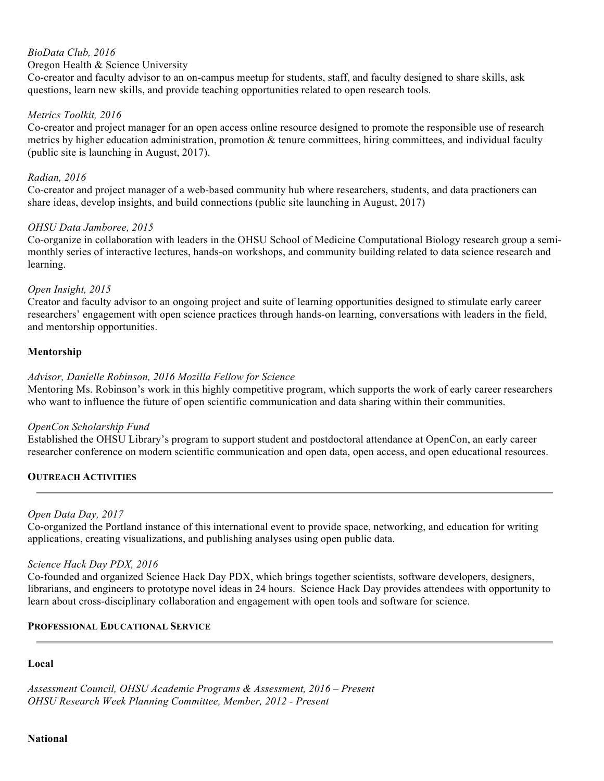# *BioData Club, 2016*

### Oregon Health & Science University

Co-creator and faculty advisor to an on-campus meetup for students, staff, and faculty designed to share skills, ask questions, learn new skills, and provide teaching opportunities related to open research tools.

## *Metrics Toolkit, 2016*

Co-creator and project manager for an open access online resource designed to promote the responsible use of research metrics by higher education administration, promotion & tenure committees, hiring committees, and individual faculty (public site is launching in August, 2017).

### *Radian, 2016*

Co-creator and project manager of a web-based community hub where researchers, students, and data practioners can share ideas, develop insights, and build connections (public site launching in August, 2017)

## *OHSU Data Jamboree, 2015*

Co-organize in collaboration with leaders in the OHSU School of Medicine Computational Biology research group a semimonthly series of interactive lectures, hands-on workshops, and community building related to data science research and learning.

## *Open Insight, 2015*

Creator and faculty advisor to an ongoing project and suite of learning opportunities designed to stimulate early career researchers' engagement with open science practices through hands-on learning, conversations with leaders in the field, and mentorship opportunities.

## **Mentorship**

## *Advisor, Danielle Robinson, 2016 Mozilla Fellow for Science*

Mentoring Ms. Robinson's work in this highly competitive program, which supports the work of early career researchers who want to influence the future of open scientific communication and data sharing within their communities.

### *OpenCon Scholarship Fund*

Established the OHSU Library's program to support student and postdoctoral attendance at OpenCon, an early career researcher conference on modern scientific communication and open data, open access, and open educational resources.

### **OUTREACH ACTIVITIES**

### *Open Data Day, 2017*

Co-organized the Portland instance of this international event to provide space, networking, and education for writing applications, creating visualizations, and publishing analyses using open public data.

### *Science Hack Day PDX, 2016*

Co-founded and organized Science Hack Day PDX, which brings together scientists, software developers, designers, librarians, and engineers to prototype novel ideas in 24 hours. Science Hack Day provides attendees with opportunity to learn about cross-disciplinary collaboration and engagement with open tools and software for science.

### **PROFESSIONAL EDUCATIONAL SERVICE**

### **Local**

*Assessment Council, OHSU Academic Programs & Assessment, 2016 – Present OHSU Research Week Planning Committee, Member, 2012 - Present*

#### **National**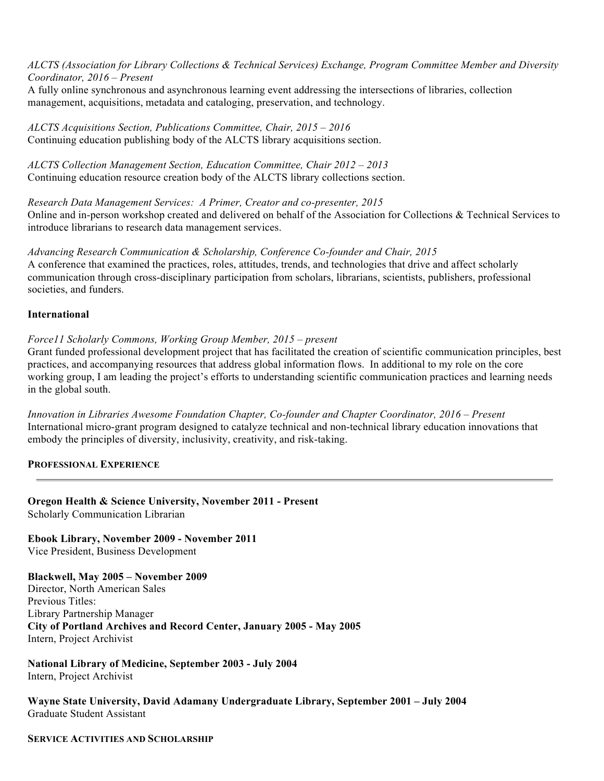*ALCTS (Association for Library Collections & Technical Services) Exchange, Program Committee Member and Diversity Coordinator, 2016 – Present*

A fully online synchronous and asynchronous learning event addressing the intersections of libraries, collection management, acquisitions, metadata and cataloging, preservation, and technology.

*ALCTS Acquisitions Section, Publications Committee, Chair, 2015 – 2016* Continuing education publishing body of the ALCTS library acquisitions section.

*ALCTS Collection Management Section, Education Committee, Chair 2012 – 2013* Continuing education resource creation body of the ALCTS library collections section.

*Research Data Management Services: A Primer, Creator and co-presenter, 2015* Online and in-person workshop created and delivered on behalf of the Association for Collections & Technical Services to introduce librarians to research data management services.

*Advancing Research Communication & Scholarship, Conference Co-founder and Chair, 2015* A conference that examined the practices, roles, attitudes, trends, and technologies that drive and affect scholarly communication through cross-disciplinary participation from scholars, librarians, scientists, publishers, professional societies, and funders.

### **International**

*Force11 Scholarly Commons, Working Group Member, 2015 – present*

Grant funded professional development project that has facilitated the creation of scientific communication principles, best practices, and accompanying resources that address global information flows. In additional to my role on the core working group, I am leading the project's efforts to understanding scientific communication practices and learning needs in the global south.

*Innovation in Libraries Awesome Foundation Chapter, Co-founder and Chapter Coordinator, 2016 – Present* International micro-grant program designed to catalyze technical and non-technical library education innovations that embody the principles of diversity, inclusivity, creativity, and risk-taking.

#### **PROFESSIONAL EXPERIENCE**

**Oregon Health & Science University, November 2011 - Present** Scholarly Communication Librarian

**Ebook Library, November 2009 - November 2011**

Vice President, Business Development

**Blackwell, May 2005 – November 2009** Director, North American Sales Previous Titles: Library Partnership Manager **City of Portland Archives and Record Center, January 2005 - May 2005** Intern, Project Archivist

**National Library of Medicine, September 2003 - July 2004** Intern, Project Archivist

**Wayne State University, David Adamany Undergraduate Library, September 2001 – July 2004** Graduate Student Assistant

#### **SERVICE ACTIVITIES AND SCHOLARSHIP**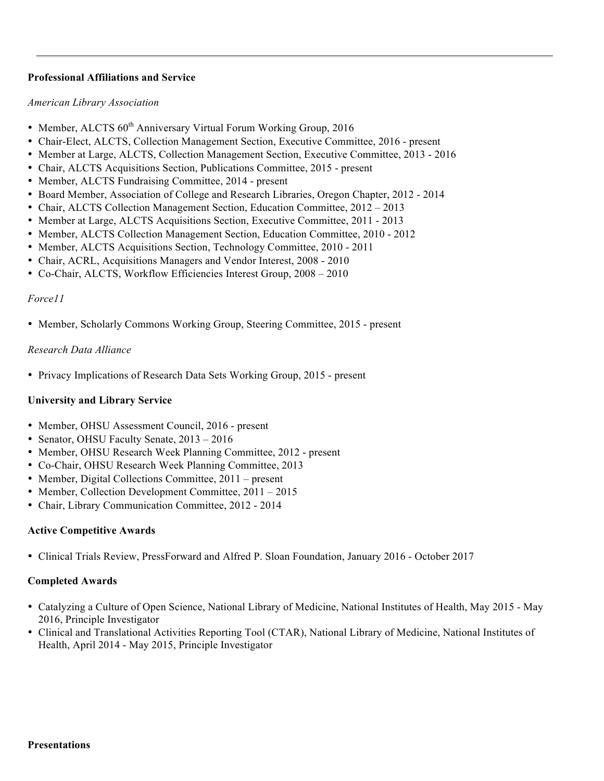## **Professional Affiliations and Service**

#### *American Library Association*

- Member, ALCTS  $60<sup>th</sup>$  Anniversary Virtual Forum Working Group, 2016
- Chair-Elect, ALCTS, Collection Management Section, Executive Committee, 2016 present
- Member at Large, ALCTS, Collection Management Section, Executive Committee, 2013 2016
- Chair, ALCTS Acquisitions Section, Publications Committee, 2015 present
- Member, ALCTS Fundraising Committee, 2014 present
- Board Member, Association of College and Research Libraries, Oregon Chapter, 2012 2014
- Chair, ALCTS Collection Management Section, Education Committee, 2012 2013
- Member at Large, ALCTS Acquisitions Section, Executive Committee, 2011 2013
- Member, ALCTS Collection Management Section, Education Committee, 2010 2012
- Member, ALCTS Acquisitions Section, Technology Committee, 2010 2011
- Chair, ACRL, Acquisitions Managers and Vendor Interest, 2008 2010
- Co-Chair, ALCTS, Workflow Efficiencies Interest Group, 2008 2010

## *Force11*

• Member, Scholarly Commons Working Group, Steering Committee, 2015 - present

## *Research Data Alliance*

• Privacy Implications of Research Data Sets Working Group, 2015 - present

# **University and Library Service**

- Member, OHSU Assessment Council, 2016 present
- Senator, OHSU Faculty Senate,  $2013 2016$
- Member, OHSU Research Week Planning Committee, 2012 present
- Co-Chair, OHSU Research Week Planning Committee, 2013
- Member, Digital Collections Committee, 2011 present
- Member, Collection Development Committee, 2011 2015
- Chair, Library Communication Committee, 2012 2014

### **Active Competitive Awards**

• Clinical Trials Review, PressForward and Alfred P. Sloan Foundation, January 2016 - October 2017

# **Completed Awards**

- Catalyzing a Culture of Open Science, National Library of Medicine, National Institutes of Health, May 2015 May 2016, Principle Investigator
- Clinical and Translational Activities Reporting Tool (CTAR), National Library of Medicine, National Institutes of Health, April 2014 - May 2015, Principle Investigator